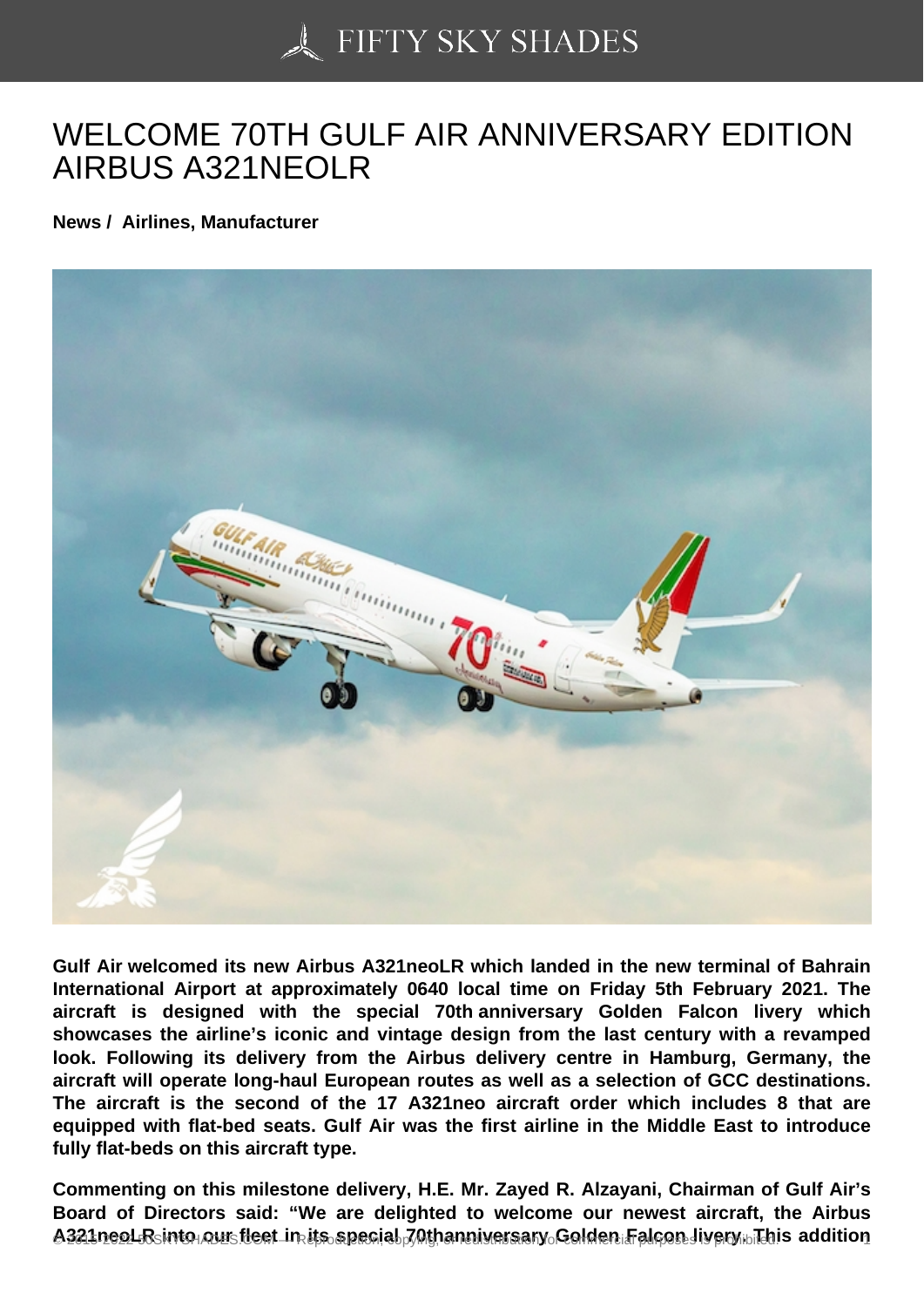## [WELCOME 70TH GUL](https://50skyshades.com)F AIR ANNIVERSARY EDITION AIRBUS A321NEOLR

News / Airlines, Manufacturer

Gulf Air welcomed its new Airbus A321neoLR which landed in the new terminal of Bahrain International Airport at approximately 0640 local time on Friday 5th February 2021. The aircraft is designed with the special 70th anniversary Golden Falcon livery which showcases the airline's iconic and vintage design from the last century with a revamped look. Following its delivery from the Airbus delivery centre in Hamburg, Germany, the aircraft will operate long-haul European routes as well as a selection of GCC destinations. The aircraft is the second of the 17 A321neo aircraft order which includes 8 that are equipped with flat-bed seats. Gulf Air was the first airline in the Middle East to introduce fully flat-beds on this aircraft type.

Commenting on this milestone delivery, H.E. Mr. Zayed R. Alzayani, Chairman of Gulf Air's Board of Directors said: "We are delighted to welcome our newest aircraft, the Airbus  $A324$ peol R into our fleet in its special 70thanniversary Golden Falcon livery. This addition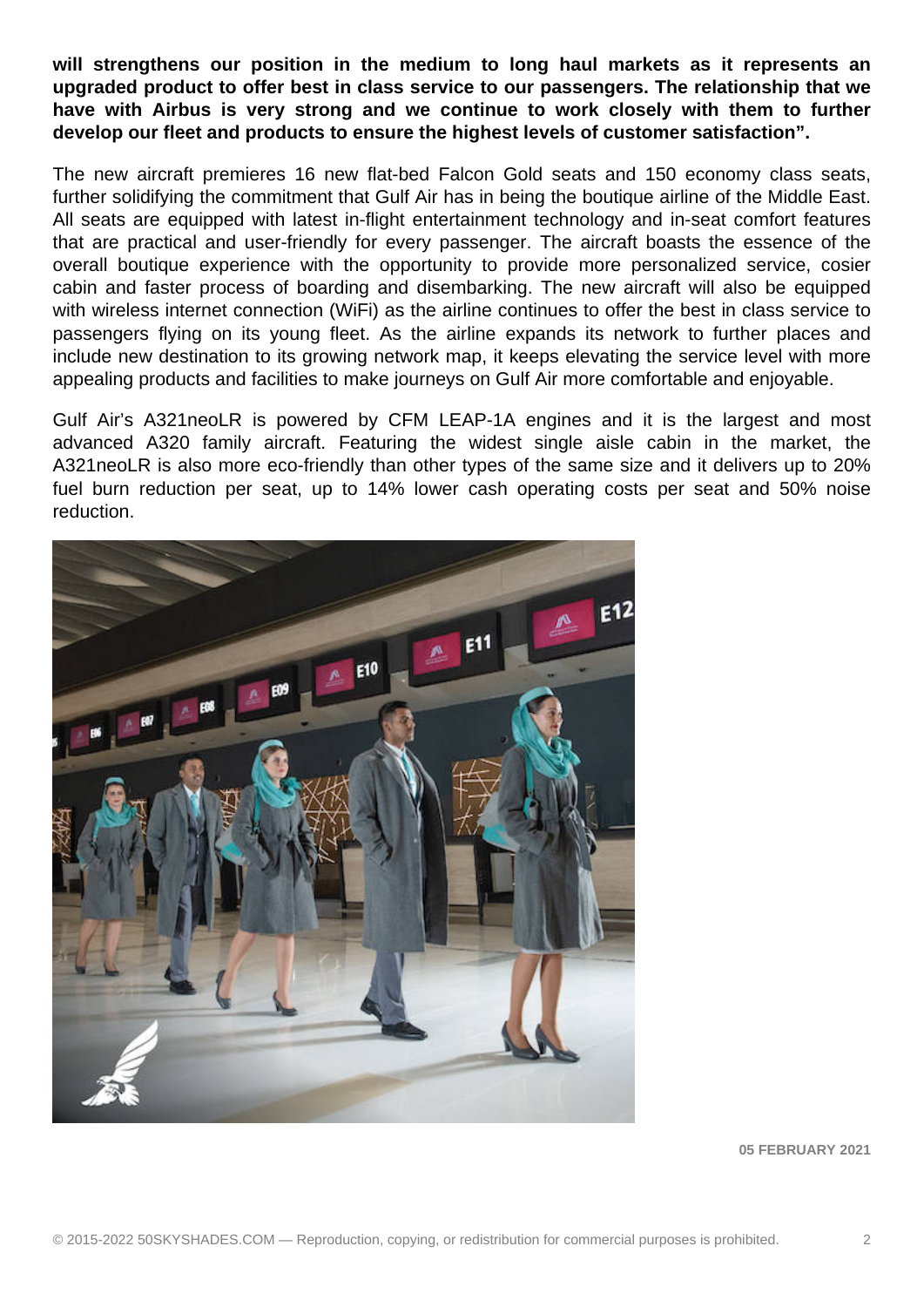**will strengthens our position in the medium to long haul markets as it represents an upgraded product to offer best in class service to our passengers. The relationship that we have with Airbus is very strong and we continue to work closely with them to further develop our fleet and products to ensure the highest levels of customer satisfaction".**

The new aircraft premieres 16 new flat-bed Falcon Gold seats and 150 economy class seats, further solidifying the commitment that Gulf Air has in being the boutique airline of the Middle East. All seats are equipped with latest in-flight entertainment technology and in-seat comfort features that are practical and user-friendly for every passenger. The aircraft boasts the essence of the overall boutique experience with the opportunity to provide more personalized service, cosier cabin and faster process of boarding and disembarking. The new aircraft will also be equipped with wireless internet connection (WiFi) as the airline continues to offer the best in class service to passengers flying on its young fleet. As the airline expands its network to further places and include new destination to its growing network map, it keeps elevating the service level with more appealing products and facilities to make journeys on Gulf Air more comfortable and enjoyable.

Gulf Air's A321neoLR is powered by CFM LEAP-1A engines and it is the largest and most advanced A320 family aircraft. Featuring the widest single aisle cabin in the market, the A321neoLR is also more eco-friendly than other types of the same size and it delivers up to 20% fuel burn reduction per seat, up to 14% lower cash operating costs per seat and 50% noise reduction.



**05 FEBRUARY 2021**